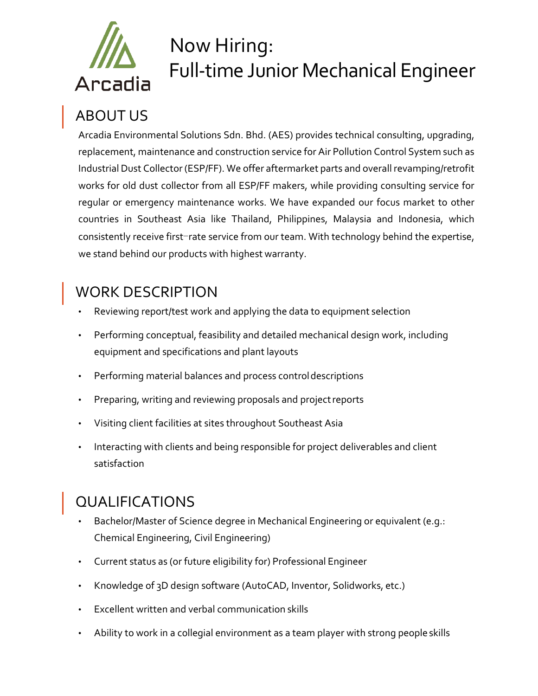

# Now Hiring: Full-time Junior Mechanical Engineer

# ABOUT US

Arcadia Environmental Solutions Sdn. Bhd. (AES) provides technical consulting, upgrading, replacement, maintenance and construction service for Air Pollution Control System such as Industrial Dust Collector (ESP/FF). We offer aftermarket parts and overall revamping/retrofit works for old dust collector from all ESP/FF makers, while providing consulting service for regular or emergency maintenance works. We have expanded our focus market to other countries in Southeast Asia like Thailand, Philippines, Malaysia and Indonesia, which consistently receive first-rate service from our team. With technology behind the expertise, we stand behind our products with highest warranty.

## WORK DESCRIPTION

- Reviewing report/test work and applying the data to equipment selection
- Performing conceptual, feasibility and detailed mechanical design work, including equipment and specifications and plant layouts
- Performing material balances and process controldescriptions
- Preparing, writing and reviewing proposals and projectreports
- Visiting client facilities at sites throughout Southeast Asia
- Interacting with clients and being responsible for project deliverables and client satisfaction

# QUALIFICATIONS

- Bachelor/Master of Science degree in Mechanical Engineering or equivalent (e.g.: Chemical Engineering, Civil Engineering)
- Current status as (or future eligibility for) Professional Engineer
- Knowledge of 3D design software (AutoCAD, Inventor, Solidworks, etc.)
- Excellent written and verbal communication skills
- Ability to work in a collegial environment as a team player with strong peopleskills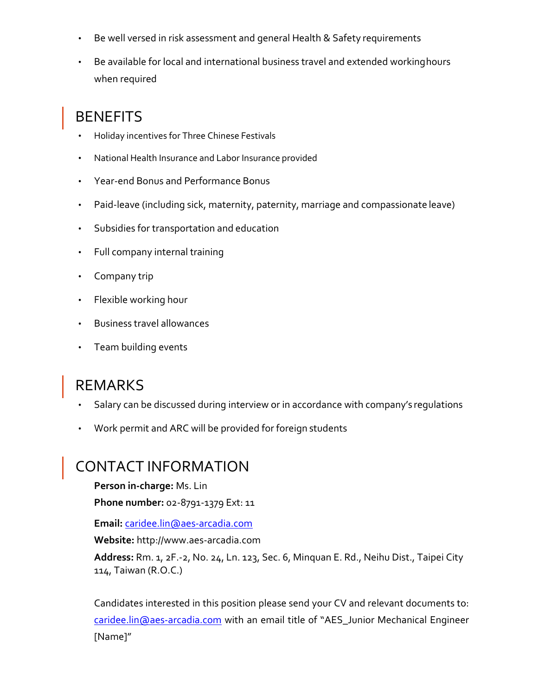- Be well versed in risk assessment and general Health & Safety requirements
- Be available for local and international business travel and extended workinghours when required

## **BENEFITS**

- Holiday incentives for Three Chinese Festivals
- National Health Insurance and Labor Insurance provided
- Year-end Bonus and Performance Bonus
- Paid-leave (including sick, maternity, paternity, marriage and compassionate leave)
- Subsidies for transportation and education
- Full company internal training
- Company trip
- Flexible working hour
- Business travel allowances
- Team building events

#### REMARKS

- Salary can be discussed during interview or in accordance with company's regulations
- Work permit and ARC will be provided for foreign students

#### CONTACT INFORMATION

**Person in-charge:** Ms. Lin

**Phone number:** 02-8791-1379 Ext: 11

**Email:** [caridee.lin@aes-arcadia.com](mailto:caridee.lin@aes-arcadia.com)

**Website:** [http://www.aes-arcadia.com](http://www.aes-arcadia.com/)

**Address:** Rm. 1, 2F.-2, No. 24, Ln. 123, Sec. 6, Minquan E. Rd., Neihu Dist., Taipei City 114, Taiwan (R.O.C.)

Candidates interested in this position please send your CV and relevant documents to: [caridee.lin@aes-arcadia.com](mailto:caridee.lin@aes-arcadia.com) with an email title of "AES\_Junior Mechanical Engineer [Name]"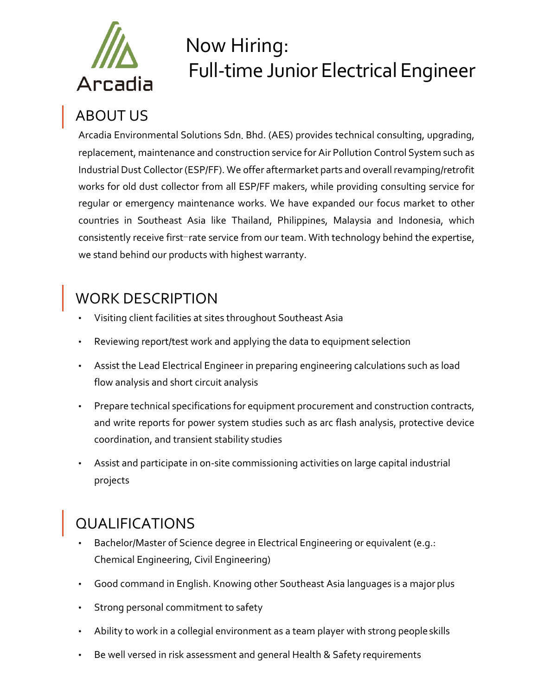

# Now Hiring: Full-time Junior Electrical Engineer

## ABOUT US

Arcadia Environmental Solutions Sdn. Bhd. (AES) provides technical consulting, upgrading, replacement, maintenance and construction service for Air Pollution Control System such as Industrial Dust Collector (ESP/FF). We offer aftermarket parts and overall revamping/retrofit works for old dust collector from all ESP/FF makers, while providing consulting service for regular or emergency maintenance works. We have expanded our focus market to other countries in Southeast Asia like Thailand, Philippines, Malaysia and Indonesia, which consistently receive first-rate service from our team. With technology behind the expertise, we stand behind our products with highest warranty.

## WORK DESCRIPTION

- Visiting client facilities at sites throughout Southeast Asia
- Reviewing report/test work and applying the data to equipment selection
- Assist the Lead Electrical Engineer in preparing engineering calculations such as load flow analysis and short circuit analysis
- Prepare technical specifications for equipment procurement and construction contracts, and write reports for power system studies such as arc flash analysis, protective device coordination, and transient stability studies
- Assist and participate in on-site commissioning activities on large capital industrial projects

## QUALIFICATIONS

- Bachelor/Master of Science degree in Electrical Engineering or equivalent (e.g.: Chemical Engineering, Civil Engineering)
- Good command in English. Knowing other Southeast Asia languages is a major plus
- Strong personal commitment to safety
- Ability to work in a collegial environment as a team player with strong peopleskills
- Be well versed in risk assessment and general Health & Safety requirements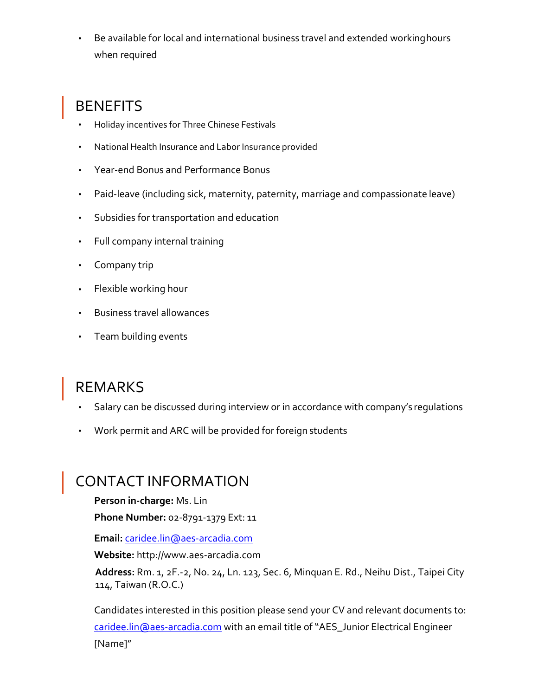• Be available for local and international business travel and extended workinghours when required

## **BENEFITS**

- Holiday incentives for Three Chinese Festivals
- National Health Insurance and Labor Insurance provided
- Year-end Bonus and Performance Bonus
- Paid-leave (including sick, maternity, paternity, marriage and compassionate leave)
- Subsidies for transportation and education
- Full company internal training
- Company trip
- Flexible working hour
- Business travel allowances
- Team building events

#### REMARKS

- Salary can be discussed during interview or in accordance with company's regulations
- Work permit and ARC will be provided for foreign students

#### CONTACT INFORMATION

**Person in-charge:** Ms. Lin

**Phone Number:** 02-8791-1379 Ext: 11

**Email:** [caridee.lin@aes-arcadia.com](mailto:caridee.lin@aes-arcadia.com)

**Website:** [http://www.aes-arcadia.com](http://www.aes-arcadia.com/)

**Address:** Rm. 1, 2F.-2, No. 24, Ln. 123, Sec. 6, Minquan E. Rd., Neihu Dist., Taipei City 114, Taiwan (R.O.C.)

Candidates interested in this position please send your CV and relevant documents to: [caridee.lin@aes-arcadia.com](mailto:caridee.lin@aes-arcadia.com) with an email title of "AES\_Junior Electrical Engineer [Name]"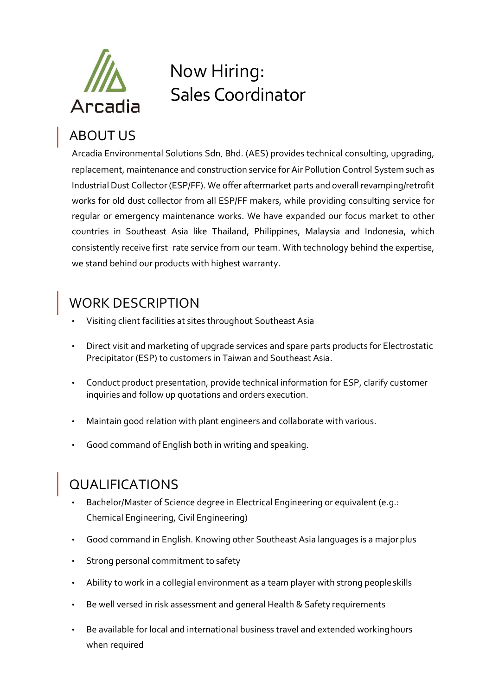

# Now Hiring: Sales Coordinator

# ABOUT US

Arcadia Environmental Solutions Sdn. Bhd. (AES) provides technical consulting, upgrading, replacement, maintenance and construction service for Air Pollution Control System such as Industrial Dust Collector (ESP/FF). We offer aftermarket parts and overall revamping/retrofit works for old dust collector from all ESP/FF makers, while providing consulting service for regular or emergency maintenance works. We have expanded our focus market to other countries in Southeast Asia like Thailand, Philippines, Malaysia and Indonesia, which consistently receive first-rate service from our team. With technology behind the expertise, we stand behind our products with highest warranty.

## WORK DESCRIPTION

- Visiting client facilities at sites throughout Southeast Asia
- Direct visit and marketing of upgrade services and spare parts products for Electrostatic Precipitator (ESP) to customers in Taiwan and Southeast Asia.
- Conduct product presentation, provide technical information for ESP, clarify customer inquiries and follow up quotations and orders execution.
- Maintain good relation with plant engineers and collaborate with various.
- Good command of English both in writing and speaking.

# QUALIFICATIONS

- Bachelor/Master of Science degree in Electrical Engineering or equivalent (e.g.: Chemical Engineering, Civil Engineering)
- Good command in English. Knowing other Southeast Asia languages is a major plus
- Strong personal commitment to safety
- Ability to work in a collegial environment as a team player with strong people skills
- Be well versed in risk assessment and general Health & Safety requirements
- Be available for local and international business travel and extended working hours when required